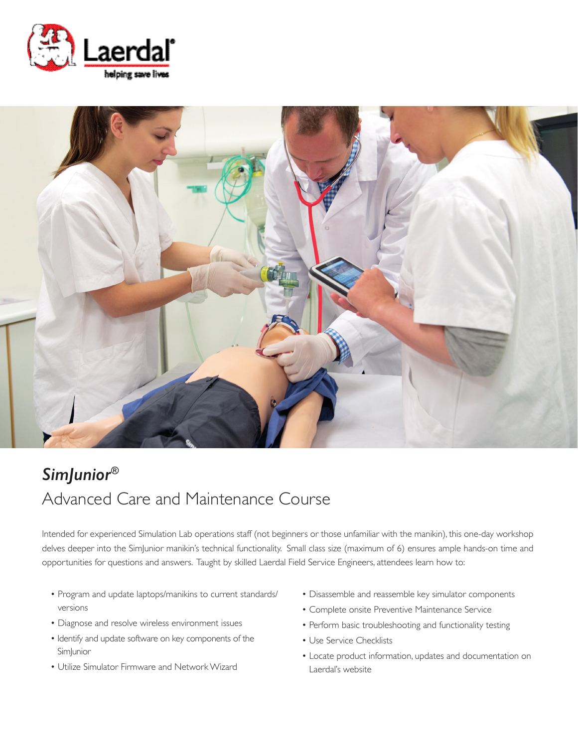



# *SimJunior®* Advanced Care and Maintenance Course

Intended for experienced Simulation Lab operations staff (not beginners or those unfamiliar with the manikin), this one-day workshop delves deeper into the SimJunior manikin's technical functionality. Small class size (maximum of 6) ensures ample hands-on time and opportunities for questions and answers. Taught by skilled Laerdal Field Service Engineers, attendees learn how to:

- Program and update laptops/manikins to current standards/ versions
- Diagnose and resolve wireless environment issues
- Identify and update software on key components of the **Sim**Junior
- Utilize Simulator Firmware and Network Wizard
- Disassemble and reassemble key simulator components
- Complete onsite Preventive Maintenance Service
- Perform basic troubleshooting and functionality testing
- Use Service Checklists
- Locate product information, updates and documentation on Laerdal's website